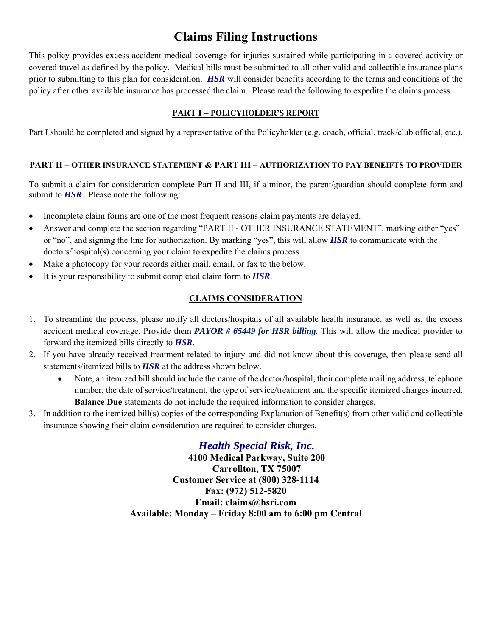# **Claims Filing Instructions**

This policy provides excess accident medical coverage for injuries sustained while participating in a covered activity or covered travel as defined by the policy. Medical bills must be submitted to all other valid and collectible insurance plans prior to submitting to this plan for consideration. *HSR* will consider benefits according to the terms and conditions of the policy after other available insurance has processed the claim. Please read the following to expedite the claims process.

#### **PART I – POLICYHOLDER'S REPORT**

Part I should be completed and signed by a representative of the Policyholder (e.g. coach, official, track/club official, etc.).

#### **PART II – OTHER INSURANCE STATEMENT & PART III – AUTHORIZATION TO PAY BENEIFTS TO PROVIDER**

To submit a claim for consideration complete Part II and III, if a minor, the parent/guardian should complete form and submit to *HSR*. Please note the following:

- Incomplete claim forms are one of the most frequent reasons claim payments are delayed.
- Answer and complete the section regarding "PART II OTHER INSURANCE STATEMENT", marking either "yes" or "no", and signing the line for authorization. By marking "yes", this will allow *HSR* to communicate with the doctors/hospital(s) concerning your claim to expedite the claims process.
- Make a photocopy for your records either mail, email, or fax to the below.
- It is your responsibility to submit completed claim form to *HSR*.

### **CLAIMS CONSIDERATION**

- 1. To streamline the process, please notify all doctors/hospitals of all available health insurance, as well as, the excess accident medical coverage. Provide them *PAYOR # 65449 for HSR billing.* This will allow the medical provider to forward the itemized bills directly to *HSR*.
- 2. If you have already received treatment related to injury and did not know about this coverage, then please send all statements/itemized bills to *HSR* at the address shown below.
	- Note, an itemized bill should include the name of the doctor/hospital, their complete mailing address, telephone number, the date of service/treatment, the type of service/treatment and the specific itemized charges incurred. **Balance Due** statements do not include the required information to consider charges.
- 3. In addition to the itemized bill(s) copies of the corresponding Explanation of Benefit(s) from other valid and collectible insurance showing their claim consideration are required to consider charges.

## *Health Special Risk, Inc.*

**4100 Medical Parkway, Suite 200 Carrollton, TX 75007 Customer Service at (800) 328-1114 Fax: (972) 512-5820 Email: claims@hsri.com Available: Monday – Friday 8:00 am to 6:00 pm Central**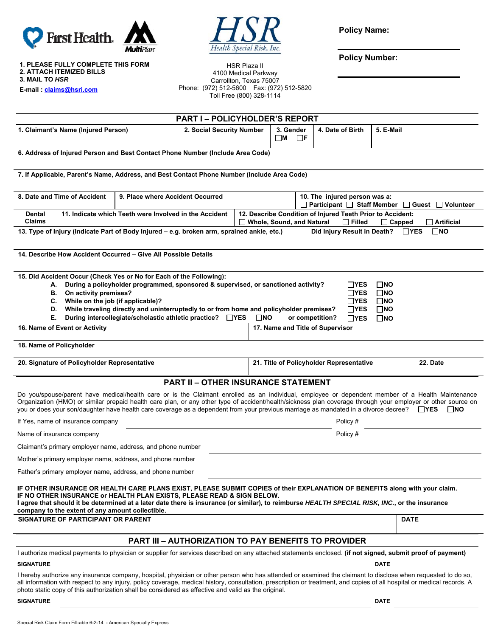



**Policy Name:** 

**Policy Number:** 

**1. PLEASE FULLY COMPLETE THIS FORM 2. ATTACH ITEMIZED BILLS 3. MAIL TO** *HSR*

**E-mail : claims@hsri.com**

| <b>HSR Plaza II</b>      |                                            |  |  |  |  |  |  |
|--------------------------|--------------------------------------------|--|--|--|--|--|--|
| 4100 Medical Parkway     |                                            |  |  |  |  |  |  |
| Carrollton, Texas 75007  |                                            |  |  |  |  |  |  |
|                          | Phone: (972) 512-5600  Fax: (972) 512-5820 |  |  |  |  |  |  |
| Toll Free (800) 328-1114 |                                            |  |  |  |  |  |  |
|                          |                                            |  |  |  |  |  |  |

|                                                                                                                                                                                                                                                                                                                                                                                                                                                                                                                    |                                                  |                                                                                                                                                                                                                                                                                                                                                                                                                                                                                    | <b>PART I-POLICYHOLDER'S REPORT</b>                         |                                                      |                                                                                                                                                  |                  |                                                                   |              |              |  |
|--------------------------------------------------------------------------------------------------------------------------------------------------------------------------------------------------------------------------------------------------------------------------------------------------------------------------------------------------------------------------------------------------------------------------------------------------------------------------------------------------------------------|--------------------------------------------------|------------------------------------------------------------------------------------------------------------------------------------------------------------------------------------------------------------------------------------------------------------------------------------------------------------------------------------------------------------------------------------------------------------------------------------------------------------------------------------|-------------------------------------------------------------|------------------------------------------------------|--------------------------------------------------------------------------------------------------------------------------------------------------|------------------|-------------------------------------------------------------------|--------------|--------------|--|
| 1. Claimant's Name (Injured Person)                                                                                                                                                                                                                                                                                                                                                                                                                                                                                |                                                  | 2. Social Security Number                                                                                                                                                                                                                                                                                                                                                                                                                                                          |                                                             | 3. Gender<br>$\square$ M                             | $\Box$ F                                                                                                                                         | 4. Date of Birth | 5. E-Mail                                                         |              |              |  |
|                                                                                                                                                                                                                                                                                                                                                                                                                                                                                                                    |                                                  | 6. Address of Injured Person and Best Contact Phone Number (Include Area Code)                                                                                                                                                                                                                                                                                                                                                                                                     |                                                             |                                                      |                                                                                                                                                  |                  |                                                                   |              |              |  |
|                                                                                                                                                                                                                                                                                                                                                                                                                                                                                                                    |                                                  | 7. If Applicable, Parent's Name, Address, and Best Contact Phone Number (Include Area Code)                                                                                                                                                                                                                                                                                                                                                                                        |                                                             |                                                      |                                                                                                                                                  |                  |                                                                   |              |              |  |
| 8. Date and Time of Accident<br>9. Place where Accident Occurred                                                                                                                                                                                                                                                                                                                                                                                                                                                   |                                                  |                                                                                                                                                                                                                                                                                                                                                                                                                                                                                    |                                                             |                                                      | 10. The injured person was a:<br>$\Box$ Participant $\Box$ Staff Member $\Box$ Guest $\Box$ Volunteer                                            |                  |                                                                   |              |              |  |
| 11. Indicate which Teeth were Involved in the Accident<br>Dental<br><b>Claims</b>                                                                                                                                                                                                                                                                                                                                                                                                                                  |                                                  |                                                                                                                                                                                                                                                                                                                                                                                                                                                                                    |                                                             |                                                      | 12. Describe Condition of Injured Teeth Prior to Accident:<br>Whole, Sound, and Natural<br>$\Box$ Filled<br>$\Box$ Capped<br>$\sqcap$ Artificial |                  |                                                                   |              |              |  |
|                                                                                                                                                                                                                                                                                                                                                                                                                                                                                                                    |                                                  | 13. Type of Injury (Indicate Part of Body Injured - e.g. broken arm, sprained ankle, etc.)                                                                                                                                                                                                                                                                                                                                                                                         |                                                             |                                                      |                                                                                                                                                  |                  | Did Injury Result in Death? □YES                                  |              | $\square$ NO |  |
|                                                                                                                                                                                                                                                                                                                                                                                                                                                                                                                    |                                                  | 14. Describe How Accident Occurred – Give All Possible Details                                                                                                                                                                                                                                                                                                                                                                                                                     |                                                             |                                                      |                                                                                                                                                  |                  |                                                                   |              |              |  |
| 15. Did Accident Occur (Check Yes or No for Each of the Following):<br>During a policyholder programmed, sponsored & supervised, or sanctioned activity?<br>$\square$ NO<br>∐YES<br>А.<br>On activity premises?<br>$\Box$ YES<br>$\square$ NO<br>В.<br>While on the job (if applicable)?<br>ΠYES<br>$\square$ NO<br>C.<br>While traveling directly and uninterruptedly to or from home and policyholder premises?<br>$\Box$ YES<br>$\square$ NO<br>D.<br>During intercollegiate/scholastic athletic practice? □YES |                                                  |                                                                                                                                                                                                                                                                                                                                                                                                                                                                                    |                                                             |                                                      |                                                                                                                                                  |                  |                                                                   |              |              |  |
| Е.                                                                                                                                                                                                                                                                                                                                                                                                                                                                                                                 | 16. Name of Event or Activity                    |                                                                                                                                                                                                                                                                                                                                                                                                                                                                                    |                                                             | $\square$ NO                                         |                                                                                                                                                  |                  | or competition?<br>$\Box$ YES<br>17. Name and Title of Supervisor | $\square$ NO |              |  |
|                                                                                                                                                                                                                                                                                                                                                                                                                                                                                                                    | 18. Name of Policyholder                         |                                                                                                                                                                                                                                                                                                                                                                                                                                                                                    |                                                             |                                                      |                                                                                                                                                  |                  |                                                                   |              |              |  |
| 20. Signature of Policyholder Representative                                                                                                                                                                                                                                                                                                                                                                                                                                                                       |                                                  |                                                                                                                                                                                                                                                                                                                                                                                                                                                                                    |                                                             | 21. Title of Policyholder Representative<br>22. Date |                                                                                                                                                  |                  |                                                                   |              |              |  |
|                                                                                                                                                                                                                                                                                                                                                                                                                                                                                                                    |                                                  |                                                                                                                                                                                                                                                                                                                                                                                                                                                                                    | <b>PART II - OTHER INSURANCE STATEMENT</b>                  |                                                      |                                                                                                                                                  |                  |                                                                   |              |              |  |
|                                                                                                                                                                                                                                                                                                                                                                                                                                                                                                                    |                                                  | Do you/spouse/parent have medical/health care or is the Claimant enrolled as an individual, employee or dependent member of a Health Maintenance<br>Organization (HMO) or similar prepaid health care plan, or any other type of accident/health/sickness plan coverage through your employer or other source on<br>you or does your son/daughter have health care coverage as a dependent from your previous marriage as mandated in a divorce decree? $\square$ YES $\square$ NO |                                                             |                                                      |                                                                                                                                                  |                  |                                                                   |              |              |  |
| If Yes, name of insurance company                                                                                                                                                                                                                                                                                                                                                                                                                                                                                  |                                                  |                                                                                                                                                                                                                                                                                                                                                                                                                                                                                    |                                                             |                                                      | Policy #                                                                                                                                         |                  |                                                                   |              |              |  |
| Name of insurance company                                                                                                                                                                                                                                                                                                                                                                                                                                                                                          |                                                  |                                                                                                                                                                                                                                                                                                                                                                                                                                                                                    |                                                             |                                                      | Policy #                                                                                                                                         |                  |                                                                   |              |              |  |
|                                                                                                                                                                                                                                                                                                                                                                                                                                                                                                                    |                                                  | Claimant's primary employer name, address, and phone number                                                                                                                                                                                                                                                                                                                                                                                                                        |                                                             |                                                      |                                                                                                                                                  |                  |                                                                   |              |              |  |
|                                                                                                                                                                                                                                                                                                                                                                                                                                                                                                                    |                                                  | Mother's primary employer name, address, and phone number                                                                                                                                                                                                                                                                                                                                                                                                                          |                                                             |                                                      |                                                                                                                                                  |                  |                                                                   |              |              |  |
|                                                                                                                                                                                                                                                                                                                                                                                                                                                                                                                    |                                                  | Father's primary employer name, address, and phone number                                                                                                                                                                                                                                                                                                                                                                                                                          |                                                             |                                                      |                                                                                                                                                  |                  |                                                                   |              |              |  |
|                                                                                                                                                                                                                                                                                                                                                                                                                                                                                                                    | company to the extent of any amount collectible. | IF OTHER INSURANCE OR HEALTH CARE PLANS EXIST, PLEASE SUBMIT COPIES of their EXPLANATION OF BENEFITS along with your claim.<br>IF NO OTHER INSURANCE or HEALTH PLAN EXISTS, PLEASE READ & SIGN BELOW.<br>I agree that should it be determined at a later date there is insurance (or similar), to reimburse HEALTH SPECIAL RISK, INC., or the insurance                                                                                                                            |                                                             |                                                      |                                                                                                                                                  |                  |                                                                   |              |              |  |
|                                                                                                                                                                                                                                                                                                                                                                                                                                                                                                                    | <b>SIGNATURE OF PARTICIPANT OR PARENT</b>        |                                                                                                                                                                                                                                                                                                                                                                                                                                                                                    |                                                             |                                                      |                                                                                                                                                  |                  |                                                                   | <b>DATE</b>  |              |  |
|                                                                                                                                                                                                                                                                                                                                                                                                                                                                                                                    |                                                  |                                                                                                                                                                                                                                                                                                                                                                                                                                                                                    | <b>PART III - AUTHORIZATION TO PAY BENEFITS TO PROVIDER</b> |                                                      |                                                                                                                                                  |                  |                                                                   |              |              |  |
|                                                                                                                                                                                                                                                                                                                                                                                                                                                                                                                    |                                                  | I authorize medical payments to physician or supplier for services described on any attached statements enclosed. (if not signed, submit proof of payment)                                                                                                                                                                                                                                                                                                                         |                                                             |                                                      |                                                                                                                                                  |                  |                                                                   |              |              |  |
| <b>SIGNATURE</b>                                                                                                                                                                                                                                                                                                                                                                                                                                                                                                   |                                                  |                                                                                                                                                                                                                                                                                                                                                                                                                                                                                    |                                                             |                                                      |                                                                                                                                                  |                  |                                                                   | <b>DATE</b>  |              |  |
|                                                                                                                                                                                                                                                                                                                                                                                                                                                                                                                    |                                                  | I hereby authorize any insurance company, hospital, physician or other person who has attended or examined the claimant to disclose when requested to do so,<br>all information with respect to any injury, policy coverage, medical history, consultation, prescription or treatment, and copies of all hospital or medical records. A<br>photo static copy of this authorization shall be considered as effective and valid as the original.                                     |                                                             |                                                      |                                                                                                                                                  |                  |                                                                   |              |              |  |

#### **SIGNATURE DATE** DATE DATE OF A SERIES AND SERIES OF A SERIES OF A SERIES OF A SERIES OF A SERIES OF A SERIES OF A SERIES OF A SERIES OF A SERIES OF A SERIES OF A SERIES OF A SERIES OF A SERIES OF A SERIES OF A SERIES OF A